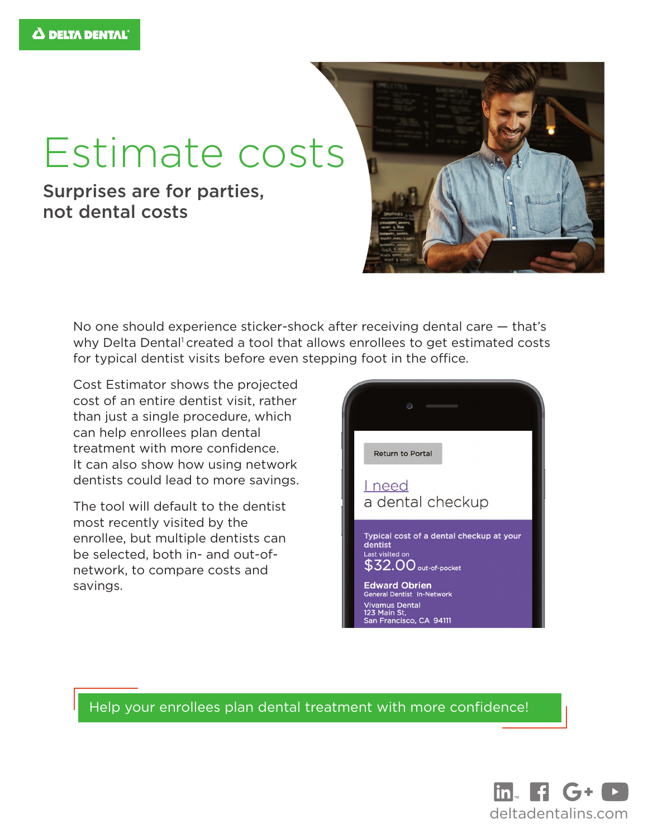## Estimate costs

## Surprises are for parties, not dental costs



No one should experience sticker-shock after receiving dental care — that's why Delta Dental<sup>1</sup> created a tool that allows enrollees to get estimated costs for typical dentist visits before even stepping foot in the office.

Cost Estimator shows the projected cost of an entire dentist visit, rather than just a single procedure, which can help enrollees plan dental treatment with more confidence. It can also show how using network dentists could lead to more savings.

The tool will default to the dentist most recently visited by the enrollee, but multiple dentists can be selected, both in- and out-ofnetwork, to compare costs and savings.



Help your enrollees plan dental treatment with more confidence!